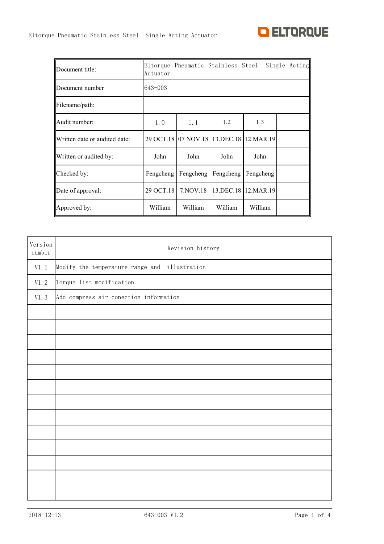

| Document title:               | Actuator  |            |           | Eltorque Pneumatic Stainless Steel Single | Acting |
|-------------------------------|-----------|------------|-----------|-------------------------------------------|--------|
| <b>IDocument number</b>       | 643-003   |            |           |                                           |        |
| Filename/path:                |           |            |           |                                           |        |
| Audit number:                 | 1.0       | 1.1        | 1.2       | 1.3                                       |        |
| Written date or audited date: |           |            |           | 29 OCT.18 07 NOV.18 13.DEC.18 12.MAR.19   |        |
| Written or audited by:        | John      | John       | John      | John                                      |        |
| Checked by:                   | Fengcheng | Fengcheng  | Fengcheng | Fengcheng                                 |        |
| Date of approval:             | 29 OCT.18 | 7. NOV. 18 |           | 13.DEC.18 12.MAR.19                       |        |
| Approved by:                  | William   | William    | William   | William                                   |        |

| Version<br>number | Revision history                              |
|-------------------|-----------------------------------------------|
| V1.1              | Modify the temperature range and illustration |
| $\mathtt{V}1.\ 2$ | Torque list modification                      |
| V1.3              | Add compress air conection information        |
|                   |                                               |
|                   |                                               |
|                   |                                               |
|                   |                                               |
|                   |                                               |
|                   |                                               |
|                   |                                               |
|                   |                                               |
|                   |                                               |
|                   |                                               |
|                   |                                               |
|                   |                                               |
|                   |                                               |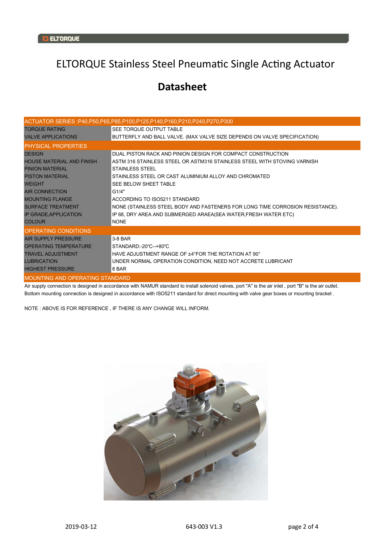## ELTORQUE Stainless Steel Pneumatic Single Acting Actuator

## **Datasheet**

|                                        | ACTUATOR SERIES :P40,P50,P65,P85,P100,P125,P140,P160,P210,P240,P270,P300      |
|----------------------------------------|-------------------------------------------------------------------------------|
| <b>TOROUE RATING</b>                   | <b>SEE TORQUE OUTPUT TABLE</b>                                                |
| <b>VALVE APPLICATIONS</b>              | BUTTERFLY AND BALL VALVE. (MAX VALVE SIZE DEPENDS ON VALVE SPECIFICATION)     |
| <b>PHYSICAL PROPERTIES</b>             |                                                                               |
| <b>DESIGN</b>                          | DUAL PISTON RACK AND PINION DESIGN FOR COMPACT CONSTRUCTION                   |
| <b>HOUSE MATERIAL AND FINISH</b>       | ASTM 316 STAINLESS STEEL OR ASTM316 STAINLESS STEEL WITH STOVING VARNISH      |
| <b>PINION MATERIAL</b>                 | <b>STAINLESS STEEL</b>                                                        |
| <b>PISTON MATERIAL</b>                 | STAINLESS STEEL OR CAST ALUMINIUM ALLOY AND CHROMATED                         |
| <b>WEIGHT</b>                          | SEE BELOW SHEET TABLE                                                         |
| <b>AIR CONNECTION</b>                  | G1/4"                                                                         |
| <b>MOUNTING FLANGE</b>                 | ACCORDING TO ISO5211 STANDARD                                                 |
| <b>SURFACE TREATMENT</b>               | NONE (STAINLESS STEEL BODY AND FASTENERS FOR LONG TIME CORROSION RESISTANCE). |
| <b>IP GRADE, APPLICATION</b>           | IP 68, DRY AREA AND SUBMERGED ARAEA(SEA WATER, FRESH WATER ETC)               |
| <b>COLOUR</b>                          | <b>NONE</b>                                                                   |
| <b>OPERATING CONDITIONS</b>            |                                                                               |
| <b>AIR SUPPLY PRESSURE</b>             | $3-8$ BAR                                                                     |
| <b>OPERATING TEMPERATURE</b>           | STANDARD:-20°C--+80°C                                                         |
| <b>TRAVEL ADJUSTMENT</b>               | HAVE ADJUSTMENT RANGE OF ±4°FOR THE ROTATION AT 90°                           |
| <b>LUBRICATION</b>                     | UNDER NORMAL OPERATION CONDITION, NEED NOT ACCRETE LUBRICANT                  |
| <b>HIGHEST PRESSURE</b>                | 8 BAR                                                                         |
| <b>MOUNTING AND OPERATING STANDARD</b> |                                                                               |

Air supply connection is designed in accordance with NAMUR standard to install solenoid valves, port "A" is the air inlet, port "B" is the air outlet. Bottom mounting connection is designed in accordance with ISO5211 standard for direct mounting with valve gear boxes or mounting bracket .

NOTE : ABOVE IS FOR REFERENCE , IF THERE IS ANY CHANGE WILL INFORM.

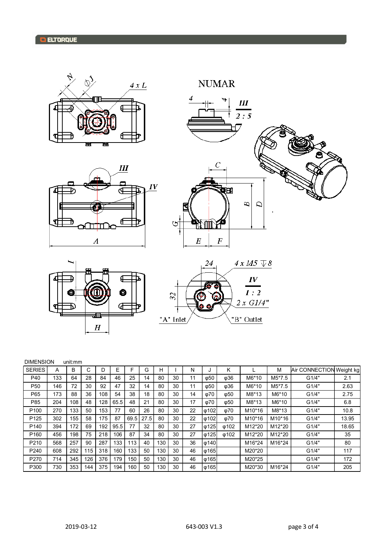











| <b>DIMENSION</b> | un |
|------------------|----|
|------------------|----|

| <b>DIMENSION</b><br>unit:mm |     |     |     |     |      |      |      |     |    |    |                             |                  |                     |                     |                          |       |
|-----------------------------|-----|-----|-----|-----|------|------|------|-----|----|----|-----------------------------|------------------|---------------------|---------------------|--------------------------|-------|
| <b>SERIES</b>               | А   | B   | С   | D   | Е    | F    | G    | н   |    | N  |                             | Κ                |                     | M                   | Air CONNECTION Weight kg |       |
| P40                         | 133 | 64  | 28  | 84  | 46   | 25   | 14   | 80  | 30 | 11 | $\phi$ 50                   | φ36              | M6*10               | M5*7.5              | G1/4"                    | 2.1   |
| P <sub>50</sub>             | 146 | 72  | 30  | 92  | 47   | 32   | 14   | 80  | 30 | 11 | ω50                         | ω36              | M6*10               | M5*7.5              | G1/4"                    | 2.63  |
| P65                         | 173 | 88  | 36  | 108 | 54   | 38   | 18   | 80  | 30 | 14 | ω70                         | $\phi$ 50        | M8*13               | M6*10               | G1/4"                    | 2.75  |
| P85                         | 204 | 108 | 48  | 128 | 65.5 | 48   | 21   | 80  | 30 | 17 | φ70                         | $\phi$ 50        | M8*13               | M6*10               | G1/4"                    | 6.8   |
| P <sub>100</sub>            | 270 | 133 | 50  | 153 | 77   | 60   | 26   | 80  | 30 | 22 | $\phi$ 102                  | ω70              | M10*16              | M8*13               | G1/4"                    | 10.8  |
| P <sub>125</sub>            | 302 | 155 | 58  | 175 | 87   | 69.5 | 27.5 | 80  | 30 | 22 | $\phi$ 102                  | φ70              | M <sub>10</sub> *16 | M10*16              | G1/4"                    | 13.95 |
| P <sub>140</sub>            | 394 | 172 | 69  | 192 | 95.5 | 77   | 32   | 80  | 30 | 27 | $\phi$ 125                  | ω <sub>102</sub> | M <sub>12</sub> *20 | M12*20              | G1/4"                    | 18.65 |
| P <sub>160</sub>            | 456 | 198 | 75  | 218 | 106  | 87   | 34   | 80  | 30 | 27 | $\phi$ 125                  | $\phi$ 102       | M <sub>12</sub> *20 | M <sub>12</sub> *20 | G1/4"                    | 35    |
| P210                        | 568 | 257 | 90  | 287 | 133  | 113  | 40   | 130 | 30 | 36 | $\lvert \varphi$ 140        |                  | M <sub>16</sub> *24 | M16*24              | G1/4"                    | 80    |
| P <sub>240</sub>            | 608 | 292 | 115 | 318 | 160  | 133  | 50   | 130 | 30 | 46 | φ165                        |                  | M20*20              |                     | G1/4"                    | 117   |
| P270                        | 714 | 345 | 126 | 376 | 179  | 150  | 50   | 130 | 30 | 46 | φ165                        |                  | M20*25              |                     | G1/4"                    | 172   |
| P300                        | 730 | 353 | 144 | 375 | 194  | 160  | 50   | 130 | 30 | 46 | $\lvert \varphi 165 \rvert$ |                  | M20*30              | M16*24              | G1/4"                    | 205   |